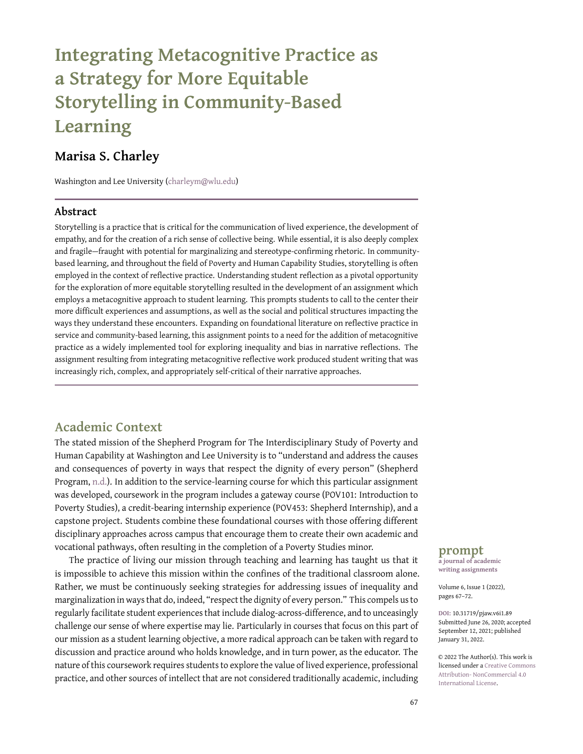# **Integrating Metacognitive Practice as a Strategy for More Equitable Storytelling in Community-Based Learning**

# **Marisa S. Charley**

Washington and Lee University [\(charleym@wlu.edu\)](charleym@wlu.edu)

#### **Abstract**

Storytelling is a practice that is critical for the communication of lived experience, the development of empathy, and for the creation of a rich sense of collective being. While essential, it is also deeply complex and fragile—fraught with potential for marginalizing and stereotype-confirming rhetoric. In communitybased learning, and throughout the field of Poverty and Human Capability Studies, storytelling is often employed in the context of reflective practice. Understanding student reflection as a pivotal opportunity for the exploration of more equitable storytelling resulted in the development of an assignment which employs a metacognitive approach to student learning. This prompts students to call to the center their more difficult experiences and assumptions, as well as the social and political structures impacting the ways they understand these encounters. Expanding on foundational literature on reflective practice in service and community-based learning, this assignment points to a need for the addition of metacognitive practice as a widely implemented tool for exploring inequality and bias in narrative reflections. The assignment resulting from integrating metacognitive reflective work produced student writing that was increasingly rich, complex, and appropriately self-critical of their narrative approaches.

#### **Academic Context**

The stated mission of the Shepherd Program for The Interdisciplinary Study of Poverty and Human Capability at Washington and Lee University is to "understand and address the causes and consequences of poverty in ways that respect the dignity of every person" (Shepherd Program, [n.d.\)](#page-5-0). In addition to the service-learning course for which this particular assignment was developed, coursework in the program includes a gateway course (POV101: Introduction to Poverty Studies), a credit-bearing internship experience (POV453: Shepherd Internship), and a capstone project. Students combine these foundational courses with those offering different disciplinary approaches across campus that encourage them to create their own academic and vocational pathways, often resulting in the completion of a Poverty Studies minor.

The practice of living our mission through teaching and learning has taught us that it is impossible to achieve this mission within the confines of the traditional classroom alone. Rather, we must be continuously seeking strategies for addressing issues of inequality and marginalization in ways that do, indeed, "respect the dignity of every person." This compels us to regularly facilitate student experiences that include dialog-across-difference, and to unceasingly challenge our sense of where expertise may lie. Particularly in courses that focus on this part of our mission as a student learning objective, a more radical approach can be taken with regard to discussion and practice around who holds knowledge, and in turn power, as the educator. The nature of this coursework requires students to explore the value of lived experience, professional practice, and other sources of intellect that are not considered traditionally academic, including

#### **prompt a journal of academic**

**writing assignments**

Volume 6, Issue 1 (2022), pages 67–72.

**DOI:** 10.31719/pjaw.v6i1.89 Submitted June 26, 2020; accepted September 12, 2021; published January 31, 2022.

© 2022 The Author(s). This work is licensed under a [Creative Commons](http://creativecommons.org/licenses/by-nc/4.0/) [Attribution- NonCommercial 4.0](http://creativecommons.org/licenses/by-nc/4.0/) [International License.](http://creativecommons.org/licenses/by-nc/4.0/)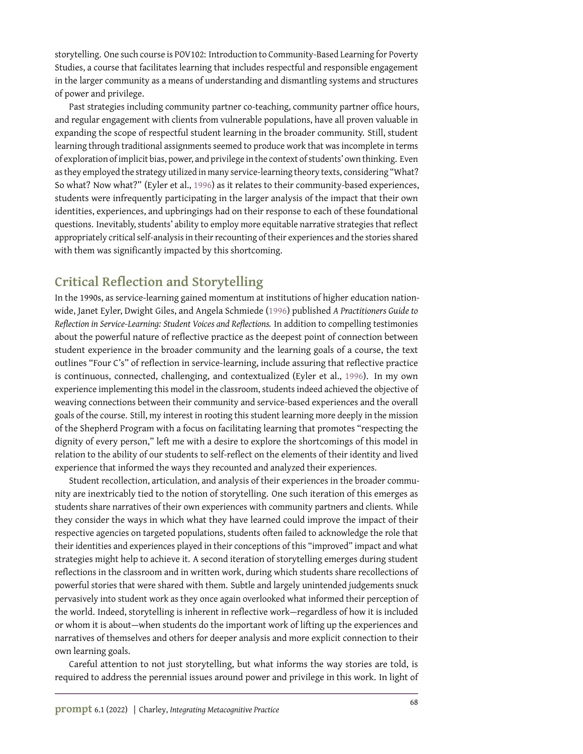storytelling. One such course is POV102: Introduction to Community-Based Learning for Poverty Studies, a course that facilitates learning that includes respectful and responsible engagement in the larger community as a means of understanding and dismantling systems and structures of power and privilege.

Past strategies including community partner co-teaching, community partner office hours, and regular engagement with clients from vulnerable populations, have all proven valuable in expanding the scope of respectful student learning in the broader community. Still, student learning through traditional assignments seemed to produce work that was incomplete in terms of exploration of implicit bias, power, and privilege in the context of students' own thinking. Even as they employed the strategy utilized in many service-learning theory texts, considering "What? So what? Now what?" (Eyler et al., [1996\)](#page-5-1) as it relates to their community-based experiences, students were infrequently participating in the larger analysis of the impact that their own identities, experiences, and upbringings had on their response to each of these foundational questions. Inevitably, students' ability to employ more equitable narrative strategies that reflect appropriately critical self-analysis in their recounting of their experiences and the stories shared with them was significantly impacted by this shortcoming.

# **Critical Reflection and Storytelling**

In the 1990s, as service-learning gained momentum at institutions of higher education nationwide, Janet Eyler, Dwight Giles, and Angela Schmiede [\(1996\)](#page-5-1) published *A Practitioners Guide to Reflection in Service-Learning: Student Voices and Reflections.* In addition to compelling testimonies about the powerful nature of reflective practice as the deepest point of connection between student experience in the broader community and the learning goals of a course, the text outlines "Four C's" of reflection in service-learning, include assuring that reflective practice is continuous, connected, challenging, and contextualized (Eyler et al., [1996\)](#page-5-1). In my own experience implementing this model in the classroom, students indeed achieved the objective of weaving connections between their community and service-based experiences and the overall goals of the course. Still, my interest in rooting this student learning more deeply in the mission of the Shepherd Program with a focus on facilitating learning that promotes "respecting the dignity of every person," left me with a desire to explore the shortcomings of this model in relation to the ability of our students to self-reflect on the elements of their identity and lived experience that informed the ways they recounted and analyzed their experiences.

Student recollection, articulation, and analysis of their experiences in the broader community are inextricably tied to the notion of storytelling. One such iteration of this emerges as students share narratives of their own experiences with community partners and clients. While they consider the ways in which what they have learned could improve the impact of their respective agencies on targeted populations, students often failed to acknowledge the role that their identities and experiences played in their conceptions of this "improved" impact and what strategies might help to achieve it. A second iteration of storytelling emerges during student reflections in the classroom and in written work, during which students share recollections of powerful stories that were shared with them. Subtle and largely unintended judgements snuck pervasively into student work as they once again overlooked what informed their perception of the world. Indeed, storytelling is inherent in reflective work—regardless of how it is included or whom it is about—when students do the important work of lifting up the experiences and narratives of themselves and others for deeper analysis and more explicit connection to their own learning goals.

Careful attention to not just storytelling, but what informs the way stories are told, is required to address the perennial issues around power and privilege in this work. In light of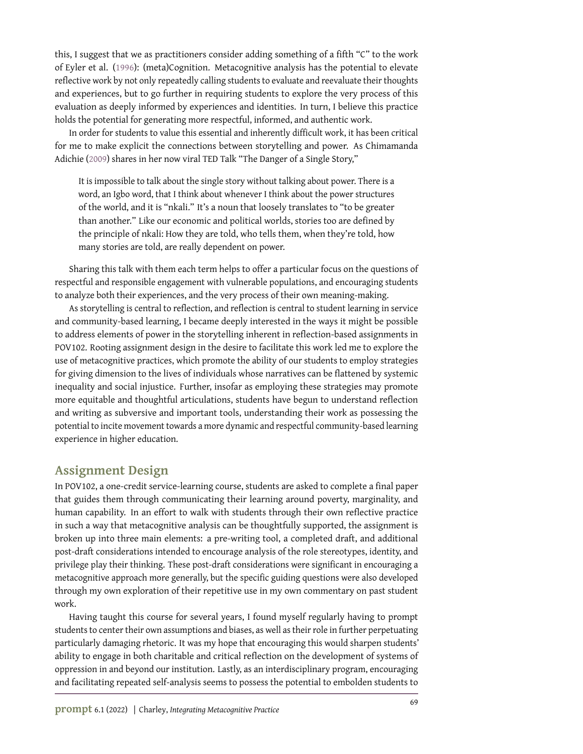this, I suggest that we as practitioners consider adding something of a fifth "C" to the work of Eyler et al. [\(1996\)](#page-5-1): (meta)Cognition. Metacognitive analysis has the potential to elevate reflective work by not only repeatedly calling students to evaluate and reevaluate their thoughts and experiences, but to go further in requiring students to explore the very process of this evaluation as deeply informed by experiences and identities. In turn, I believe this practice holds the potential for generating more respectful, informed, and authentic work.

In order for students to value this essential and inherently difficult work, it has been critical for me to make explicit the connections between storytelling and power. As Chimamanda Adichie [\(2009\)](#page-5-2) shares in her now viral TED Talk "The Danger of a Single Story,"

It is impossible to talk about the single story without talking about power. There is a word, an Igbo word, that I think about whenever I think about the power structures of the world, and it is "nkali." It's a noun that loosely translates to "to be greater than another." Like our economic and political worlds, stories too are defined by the principle of nkali: How they are told, who tells them, when they're told, how many stories are told, are really dependent on power.

Sharing this talk with them each term helps to offer a particular focus on the questions of respectful and responsible engagement with vulnerable populations, and encouraging students to analyze both their experiences, and the very process of their own meaning-making.

As storytelling is central to reflection, and reflection is central to student learning in service and community-based learning, I became deeply interested in the ways it might be possible to address elements of power in the storytelling inherent in reflection-based assignments in POV102. Rooting assignment design in the desire to facilitate this work led me to explore the use of metacognitive practices, which promote the ability of our students to employ strategies for giving dimension to the lives of individuals whose narratives can be flattened by systemic inequality and social injustice. Further, insofar as employing these strategies may promote more equitable and thoughtful articulations, students have begun to understand reflection and writing as subversive and important tools, understanding their work as possessing the potential to incite movement towards a more dynamic and respectful community-based learning experience in higher education.

#### **Assignment Design**

In POV102, a one-credit service-learning course, students are asked to complete a final paper that guides them through communicating their learning around poverty, marginality, and human capability. In an effort to walk with students through their own reflective practice in such a way that metacognitive analysis can be thoughtfully supported, the assignment is broken up into three main elements: a pre-writing tool, a completed draft, and additional post-draft considerations intended to encourage analysis of the role stereotypes, identity, and privilege play their thinking. These post-draft considerations were significant in encouraging a metacognitive approach more generally, but the specific guiding questions were also developed through my own exploration of their repetitive use in my own commentary on past student work.

Having taught this course for several years, I found myself regularly having to prompt students to center their own assumptions and biases, as well as their role in further perpetuating particularly damaging rhetoric. It was my hope that encouraging this would sharpen students' ability to engage in both charitable and critical reflection on the development of systems of oppression in and beyond our institution. Lastly, as an interdisciplinary program, encouraging and facilitating repeated self-analysis seems to possess the potential to embolden students to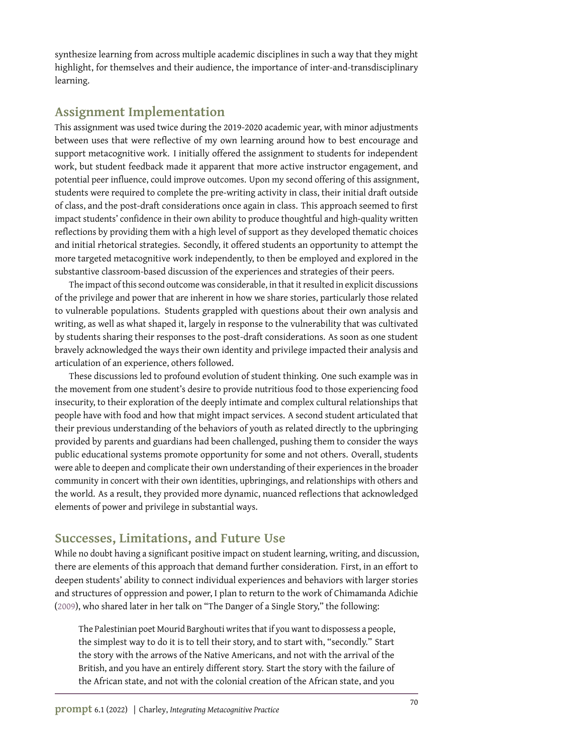synthesize learning from across multiple academic disciplines in such a way that they might highlight, for themselves and their audience, the importance of inter-and-transdisciplinary learning.

### **Assignment Implementation**

This assignment was used twice during the 2019-2020 academic year, with minor adjustments between uses that were reflective of my own learning around how to best encourage and support metacognitive work. I initially offered the assignment to students for independent work, but student feedback made it apparent that more active instructor engagement, and potential peer influence, could improve outcomes. Upon my second offering of this assignment, students were required to complete the pre-writing activity in class, their initial draft outside of class, and the post-draft considerations once again in class. This approach seemed to first impact students' confidence in their own ability to produce thoughtful and high-quality written reflections by providing them with a high level of support as they developed thematic choices and initial rhetorical strategies. Secondly, it offered students an opportunity to attempt the more targeted metacognitive work independently, to then be employed and explored in the substantive classroom-based discussion of the experiences and strategies of their peers.

The impact of this second outcome was considerable, in that it resulted in explicit discussions of the privilege and power that are inherent in how we share stories, particularly those related to vulnerable populations. Students grappled with questions about their own analysis and writing, as well as what shaped it, largely in response to the vulnerability that was cultivated by students sharing their responses to the post-draft considerations. As soon as one student bravely acknowledged the ways their own identity and privilege impacted their analysis and articulation of an experience, others followed.

These discussions led to profound evolution of student thinking. One such example was in the movement from one student's desire to provide nutritious food to those experiencing food insecurity, to their exploration of the deeply intimate and complex cultural relationships that people have with food and how that might impact services. A second student articulated that their previous understanding of the behaviors of youth as related directly to the upbringing provided by parents and guardians had been challenged, pushing them to consider the ways public educational systems promote opportunity for some and not others. Overall, students were able to deepen and complicate their own understanding of their experiences in the broader community in concert with their own identities, upbringings, and relationships with others and the world. As a result, they provided more dynamic, nuanced reflections that acknowledged elements of power and privilege in substantial ways.

# **Successes, Limitations, and Future Use**

While no doubt having a significant positive impact on student learning, writing, and discussion, there are elements of this approach that demand further consideration. First, in an effort to deepen students' ability to connect individual experiences and behaviors with larger stories and structures of oppression and power, I plan to return to the work of Chimamanda Adichie [\(2009\)](#page-5-2), who shared later in her talk on "The Danger of a Single Story," the following:

The Palestinian poet Mourid Barghouti writes that if you want to dispossess a people, the simplest way to do it is to tell their story, and to start with, "secondly." Start the story with the arrows of the Native Americans, and not with the arrival of the British, and you have an entirely different story. Start the story with the failure of the African state, and not with the colonial creation of the African state, and you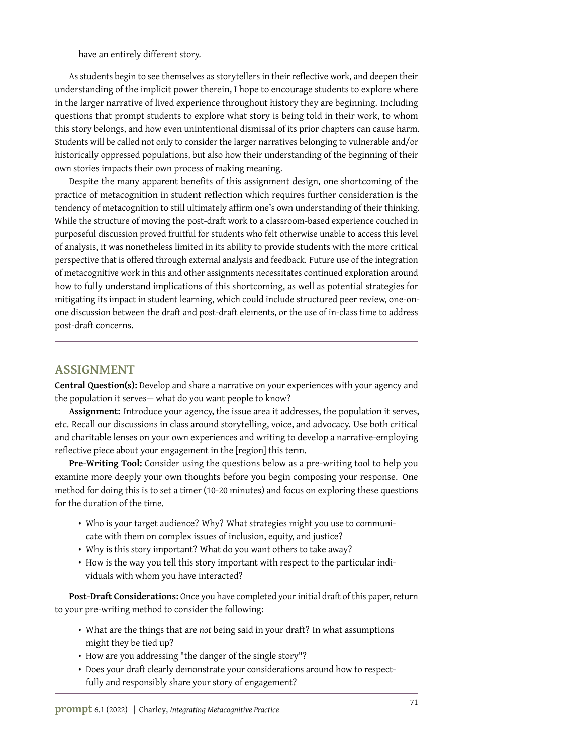have an entirely different story.

As students begin to see themselves as storytellers in their reflective work, and deepen their understanding of the implicit power therein, I hope to encourage students to explore where in the larger narrative of lived experience throughout history they are beginning. Including questions that prompt students to explore what story is being told in their work, to whom this story belongs, and how even unintentional dismissal of its prior chapters can cause harm. Students will be called not only to consider the larger narratives belonging to vulnerable and/or historically oppressed populations, but also how their understanding of the beginning of their own stories impacts their own process of making meaning.

Despite the many apparent benefits of this assignment design, one shortcoming of the practice of metacognition in student reflection which requires further consideration is the tendency of metacognition to still ultimately affirm one's own understanding of their thinking. While the structure of moving the post-draft work to a classroom-based experience couched in purposeful discussion proved fruitful for students who felt otherwise unable to access this level of analysis, it was nonetheless limited in its ability to provide students with the more critical perspective that is offered through external analysis and feedback. Future use of the integration of metacognitive work in this and other assignments necessitates continued exploration around how to fully understand implications of this shortcoming, as well as potential strategies for mitigating its impact in student learning, which could include structured peer review, one-onone discussion between the draft and post-draft elements, or the use of in-class time to address post-draft concerns.

#### **ASSIGNMENT**

**Central Question(s):** Develop and share a narrative on your experiences with your agency and the population it serves— what do you want people to know?

**Assignment:** Introduce your agency, the issue area it addresses, the population it serves, etc. Recall our discussions in class around storytelling, voice, and advocacy. Use both critical and charitable lenses on your own experiences and writing to develop a narrative-employing reflective piece about your engagement in the [region] this term.

**Pre-Writing Tool:** Consider using the questions below as a pre-writing tool to help you examine more deeply your own thoughts before you begin composing your response. One method for doing this is to set a timer (10-20 minutes) and focus on exploring these questions for the duration of the time.

- Who is your target audience? Why? What strategies might you use to communicate with them on complex issues of inclusion, equity, and justice?
- Why is this story important? What do you want others to take away?
- How is the way you tell this story important with respect to the particular individuals with whom you have interacted?

**Post-Draft Considerations:** Once you have completed your initial draft of this paper, return to your pre-writing method to consider the following:

- What are the things that are *not* being said in your draft? In what assumptions might they be tied up?
- How are you addressing "the danger of the single story"?
- Does your draft clearly demonstrate your considerations around how to respectfully and responsibly share your story of engagement?